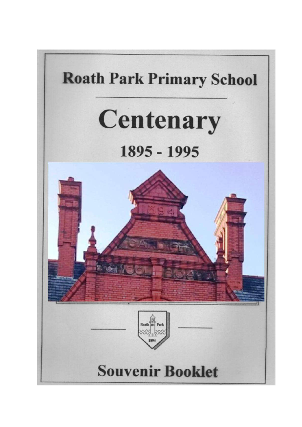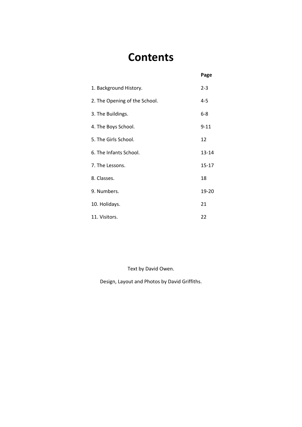## **Contents**

**Page**

| 1. Background History.        | $2 - 3$   |
|-------------------------------|-----------|
| 2. The Opening of the School. | 4-5       |
| 3. The Buildings.             | $6 - 8$   |
| 4. The Boys School.           | $9 - 11$  |
| 5. The Girls School.          | 12        |
| 6. The Infants School.        | $13 - 14$ |
| 7. The Lessons.               | $15 - 17$ |
| 8. Classes.                   | 18        |
| 9. Numbers.                   | 19-20     |
| 10. Holidays.                 | 21        |
| 11. Visitors.                 | 22        |

Text by David Owen.

Design, Layout and Photos by David Griffiths.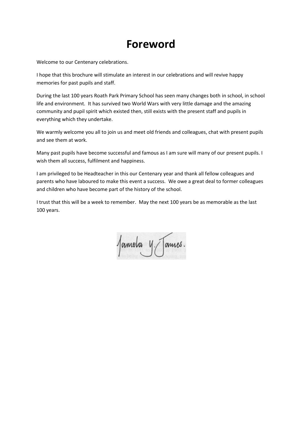### **Foreword**

Welcome to our Centenary celebrations.

I hope that this brochure will stimulate an interest in our celebrations and will revive happy memories for past pupils and staff.

During the last 100 years Roath Park Primary School has seen many changes both in school, in school life and environment. It has survived two World Wars with very little damage and the amazing community and pupil spirit which existed then, still exists with the present staff and pupils in everything which they undertake.

We warmly welcome you all to join us and meet old friends and colleagues, chat with present pupils and see them at work.

Many past pupils have become successful and famous as I am sure will many of our present pupils. I wish them all success, fulfilment and happiness.

I am privileged to be Headteacher in this our Centenary year and thank all fellow colleagues and parents who have laboured to make this event a success. We owe a great deal to former colleagues and children who have become part of the history of the school.

I trust that this will be a week to remember. May the next 100 years be as memorable as the last 100 years.

Jamela y Tames.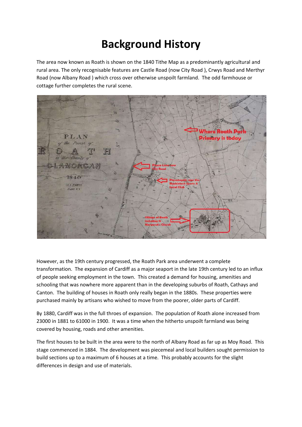## **Background History**

The area now known as Roath is shown on the 1840 Tithe Map as a predominantly agricultural and rural area. The only recognisable features are Castle Road (now City Road ), Crwys Road and Merthyr Road (now Albany Road ) which cross over otherwise unspoilt farmland. The odd farmhouse or cottage further completes the rural scene.



However, as the 19th century progressed, the Roath Park area underwent a complete transformation. The expansion of Cardiff as a major seaport in the late 19th century led to an influx of people seeking employment in the town. This created a demand for housing, amenities and schooling that was nowhere more apparent than in the developing suburbs of Roath, Cathays and Canton. The building of houses in Roath only really began in the 1880s. These properties were purchased mainly by artisans who wished to move from the poorer, older parts of Cardiff.

By 1880, Cardiff was in the full throes of expansion. The population of Roath alone increased from 23000 in 1881 to 61000 in 1900. It was a time when the hitherto unspoilt farmland was being covered by housing, roads and other amenities.

The first houses to be built in the area were to the north of Albany Road as far up as Moy Road. This stage commenced in 1884. The development was piecemeal and local builders sought permission to build sections up to a maximum of 6 houses at a time. This probably accounts for the slight differences in design and use of materials.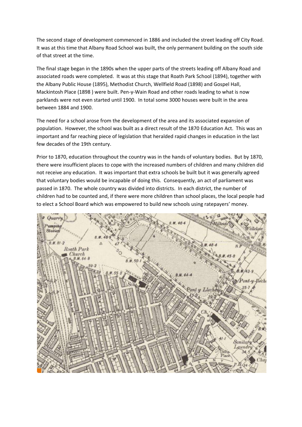The second stage of development commenced in 1886 and included the street leading off City Road. It was at this time that Albany Road School was built, the only permanent building on the south side of that street at the time.

The final stage began in the 1890s when the upper parts of the streets leading off Albany Road and associated roads were completed. It was at this stage that Roath Park School (1894), together with the Albany Public House (1895), Methodist Church, Wellfield Road (1898) and Gospel Hall, Mackintosh Place (1898 ) were built. Pen-y-Wain Road and other roads leading to what is now parklands were not even started until 1900. In total some 3000 houses were built in the area between 1884 and 1900.

The need for a school arose from the development of the area and its associated expansion of population. However, the school was built as a direct result of the 1870 Education Act. This was an important and far reaching piece of legislation that heralded rapid changes in education in the last few decades of the 19th century.

Prior to 1870, education throughout the country was in the hands of voluntary bodies. But by 1870, there were insufficient places to cope with the increased numbers of children and many children did not receive any education. It was important that extra schools be built but it was generally agreed that voluntary bodies would be incapable of doing this. Consequently, an act of parliament was passed in 1870. The whole country was divided into districts. In each district, the number of children had to be counted and, if there were more children than school places, the local people had to elect a School Board which was empowered to build new schools using ratepayers' money.

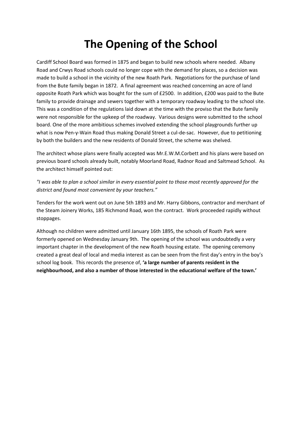## **The Opening of the School**

Cardiff School Board was formed in 1875 and began to build new schools where needed. Albany Road and Crwys Road schools could no longer cope with the demand for places, so a decision was made to build a school in the vicinity of the new Roath Park. Negotiations for the purchase of land from the Bute family began in 1872. A final agreement was reached concerning an acre of land opposite Roath Park which was bought for the sum of £2500. In addition, £200 was paid to the Bute family to provide drainage and sewers together with a temporary roadway leading to the school site. This was a condition of the regulations laid down at the time with the proviso that the Bute family were not responsible for the upkeep of the roadway. Various designs were submitted to the school board. One of the more ambitious schemes involved extending the school playgrounds further up what is now Pen-y-Wain Road thus making Donald Street a cul-de-sac. However, due to petitioning by both the builders and the new residents of Donald Street, the scheme was shelved.

The architect whose plans were finally accepted was Mr.E.W.M.Corbett and his plans were based on previous board schools already built, notably Moorland Road, Radnor Road and Saltmead School. As the architect himself pointed out:

*"I was able to plan a school similar in every essential point to those most recently approved for the district and found most convenient by your teachers."*

Tenders for the work went out on June 5th 1893 and Mr. Harry Gibbons, contractor and merchant of the Steam Joinery Works, 185 Richmond Road, won the contract. Work proceeded rapidly without stoppages.

Although no children were admitted until January 16th 1895, the schools of Roath Park were formerly opened on Wednesday January 9th. The opening of the school was undoubtedly a very important chapter in the development of the new Roath housing estate. The opening ceremony created a great deal of local and media interest as can be seen from the first day's entry in the boy's school log book. This records the presence of, **'a large number of parents resident in the neighbourhood, and also a number of those interested in the educational welfare of the town.'**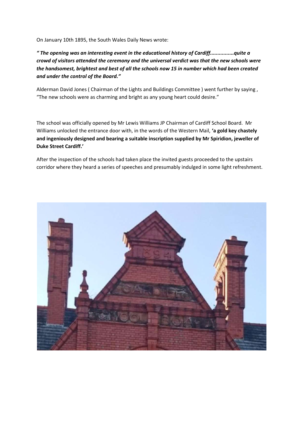On January 10th 1895, the South Wales Daily News wrote:

*" The opening was an interesting event in the educational history of Cardiff................quite a crowd of visitors attended the ceremony and the universal verdict was that the new schools were the handsomest, brightest and best of all the schools now 15 in number which had been created and under the control of the Board."*

Alderman David Jones ( Chairman of the Lights and Buildings Committee ) went further by saying , "The new schools were as charming and bright as any young heart could desire."

The school was officially opened by Mr Lewis Williams JP Chairman of Cardiff School Board. Mr Williams unlocked the entrance door with, in the words of the Western Mail, **'a gold key chastely and ingeniously designed and bearing a suitable inscription supplied by Mr Spiridion, jeweller of Duke Street Cardiff.'**

After the inspection of the schools had taken place the invited guests proceeded to the upstairs corridor where they heard a series of speeches and presumably indulged in some light refreshment.

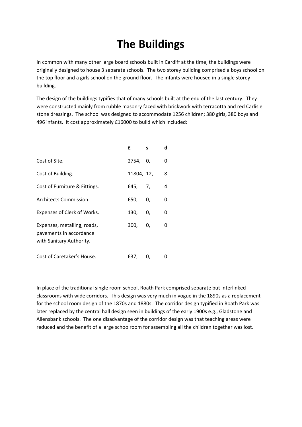## **The Buildings**

In common with many other large board schools built in Cardiff at the time, the buildings were originally designed to house 3 separate schools. The two storey building comprised a boys school on the top floor and a girls school on the ground floor. The infants were housed in a single storey building.

The design of the buildings typifies that of many schools built at the end of the last century. They were constructed mainly from rubble masonry faced with brickwork with terracotta and red Carlisle stone dressings. The school was designed to accommodate 1256 children; 380 girls, 380 boys and 496 infants. It cost approximately £16000 to build which included:

|                                                                                    | £          | s  | d |
|------------------------------------------------------------------------------------|------------|----|---|
| Cost of Site.                                                                      | 2754. 0.   |    | 0 |
| Cost of Building.                                                                  | 11804, 12, |    | 8 |
| Cost of Furniture & Fittings.                                                      | 645, 7,    |    | 4 |
| Architects Commission.                                                             | 650, 0,    |    | 0 |
| Expenses of Clerk of Works.                                                        | 130,       | 0. | 0 |
| Expenses, metalling, roads,<br>pavements in accordance<br>with Sanitary Authority. | 300, 0,    |    | 0 |
| Cost of Caretaker's House.                                                         | 637,       | 0, |   |

In place of the traditional single room school, Roath Park comprised separate but interlinked classrooms with wide corridors. This design was very much in vogue in the 1890s as a replacement for the school room design of the 1870s and 1880s. The corridor design typified in Roath Park was later replaced by the central hall design seen in buildings of the early 1900s e.g., Gladstone and Allensbank schools. The one disadvantage of the corridor design was that teaching areas were reduced and the benefit of a large schoolroom for assembling all the children together was lost.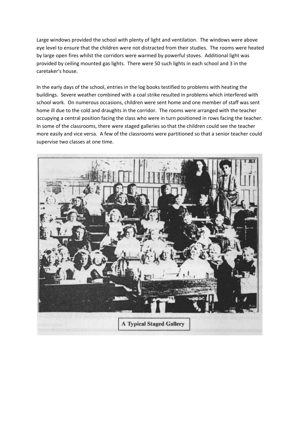Large windows provided the school with plenty of light and ventilation. The windows were above eye level to ensure that the children were not distracted from their studies. The rooms were heated by large open fires whilst the corridors were warmed by powerful stoves. Additional light was provided by ceiling mounted gas lights. There were 50 such lights in each school and 3 in the caretaker's house.

In the early days of the school, entries in the log books testified to problems with heating the buildings. Severe weather combined with a coal strike resulted in problems which interfered with school work. On numerous occasions, children were sent home and one member of staff was sent home ill due to the cold and draughts in the corridor. The rooms were arranged with the teacher occupying a central position facing the class who were in turn positioned in rows facing the teacher. In some of the classrooms, there were staged galleries so that the children could see the teacher more easily and vice versa. A few of the classrooms were partitioned so that a senior teacher could supervise two classes at one time.

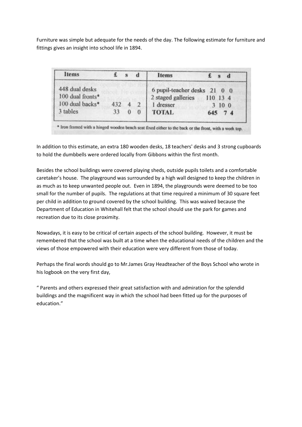Furniture was simple but adequate for the needs of the day. The following estimate for furniture and fittings gives an insight into school life in 1894.

| Items            |     | đ          | Items                        |          |        |  |
|------------------|-----|------------|------------------------------|----------|--------|--|
| 448 dual desks   |     |            | 6 pupil-teacher desks 21 0 0 |          |        |  |
| 100 dual fronts* |     |            | 2 staged galleries           | 110 13 4 |        |  |
| 100 dual backs*  | 432 | $\sqrt{2}$ | 1 dresser                    |          | 3 10 0 |  |
| 3 tables         | 33  |            | <b>TOTAL</b>                 | 645 74   |        |  |

In addition to this estimate, an extra 180 wooden desks, 18 teachers' desks and 3 strong cupboards to hold the dumbbells were ordered locally from Gibbons within the first month.

Besides the school buildings were covered playing sheds, outside pupils toilets and a comfortable caretaker's house. The playground was surrounded by a high wall designed to keep the children in as much as to keep unwanted people out. Even in 1894, the playgrounds were deemed to be too small for the number of pupils. The regulations at that time required a minimum of 30 square feet per child in addition to ground covered by the school building. This was waived because the Department of Education in Whitehall felt that the school should use the park for games and recreation due to its close proximity.

Nowadays, it is easy to be critical of certain aspects of the school building. However, it must be remembered that the school was built at a time when the educational needs of the children and the views of those empowered with their education were very different from those of today.

Perhaps the final words should go to Mr.James Gray Headteacher of the Boys School who wrote in his logbook on the very first day,

" Parents and others expressed their great satisfaction with and admiration for the splendid buildings and the magnificent way in which the school had been fitted up for the purposes of education."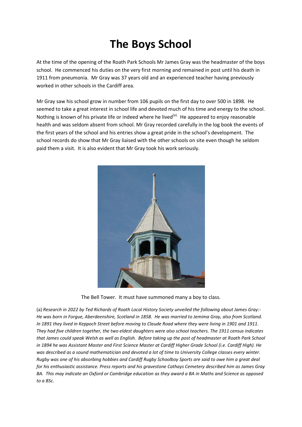# **The Boys School**

At the time of the opening of the Roath Park Schools Mr James Gray was the headmaster of the boys school. He commenced his duties on the very first morning and remained in post until his death in 1911 from pneumonia. Mr Gray was 37 years old and an experienced teacher having previously worked in other schools in the Cardiff area.

Mr Gray saw his school grow in number from 106 pupils on the first day to over 500 in 1898. He seemed to take a great interest in school life and devoted much of his time and energy to the school. Nothing is known of his private life or indeed where he lived<sup>(a).</sup> He appeared to enjoy reasonable health and was seldom absent from school. Mr Gray recorded carefully in the log book the events of the first years of the school and his entries show a great pride in the school's development. The school records do show that Mr Gray liaised with the other schools on site even though he seldom paid them a visit. It is also evident that Mr Gray took his work seriously.



The Bell Tower. It must have summoned many a boy to class.

(a) *Research in 2022 by Ted Richards of Roath Local History Society unveiled the following about James Gray:- He was born in Forgue, Aberdeenshire, Scotland in 1858. He was married to Jemima Gray, also from Scotland. In 1891 they lived in Keppoch Street before moving to Claude Road where they were living in 1901 and 1911. They had five children together, the two eldest daughters were also school teachers. The 1911 census indicates that James could speak Welsh as well as English. Before taking up the post of headmaster at Roath Park School in 1894 he was Assistant Master and First Science Master at Cardiff Higher Grade School (i.e. Cardiff High). He was described as a sound mathematician and devoted a lot of time to University College classes every winter. Rugby was one of his absorbing hobbies and Cardiff Rugby Schoolboy Sports are said to owe him a great deal for his enthusiastic assistance. Press reports and his gravestone Cathays Cemetery described him as James Gray BA. This may indicate an Oxford or Cambridge education as they award a BA in Maths and Science as opposed to a BSc.*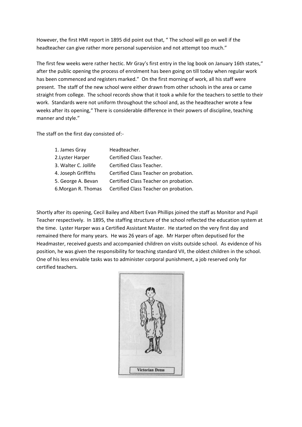However, the first HMI report in 1895 did point out that, " The school will go on well if the headteacher can give rather more personal supervision and not attempt too much."

The first few weeks were rather hectic. Mr Gray's first entry in the log book on January 16th states," after the public opening the process of enrolment has been going on till today when regular work has been commenced and registers marked." On the first morning of work, all his staff were present. The staff of the new school were either drawn from other schools in the area or came straight from college. The school records show that it took a while for the teachers to settle to their work. Standards were not uniform throughout the school and, as the headteacher wrote a few weeks after its opening," There is considerable difference in their powers of discipline, teaching manner and style."

The staff on the first day consisted of:-

| 1. James Gray        | Headteacher.                          |
|----------------------|---------------------------------------|
| 2. Lyster Harper     | <b>Certified Class Teacher.</b>       |
| 3. Walter C. Jollife | Certified Class Teacher.              |
| 4. Joseph Griffiths  | Certified Class Teacher on probation. |
| 5. George A. Bevan   | Certified Class Teacher on probation. |
| 6. Morgan R. Thomas  | Certified Class Teacher on probation. |
|                      |                                       |

Shortly after its opening, Cecil Bailey and Albert Evan Phillips joined the staff as Monitor and Pupil Teacher respectively. In 1895, the staffing structure of the school reflected the education system at the time. Lyster Harper was a Certified Assistant Master. He started on the very first day and remained there for many years. He was 26 years of age. Mr Harper often deputised for the Headmaster, received guests and accompanied children on visits outside school. As evidence of his position, he was given the responsibility for teaching standard VII, the oldest children in the school. One of his less enviable tasks was to administer corporal punishment, a job reserved only for certified teachers.

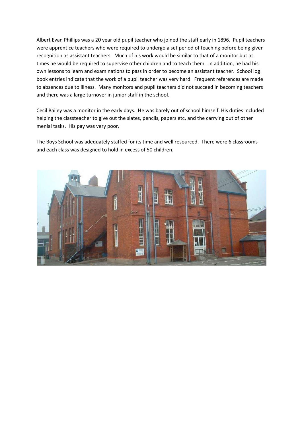Albert Evan Phillips was a 20 year old pupil teacher who joined the staff early in 1896. Pupil teachers were apprentice teachers who were required to undergo a set period of teaching before being given recognition as assistant teachers. Much of his work would be similar to that of a monitor but at times he would be required to supervise other children and to teach them. In addition, he had his own lessons to learn and examinations to pass in order to become an assistant teacher. School log book entries indicate that the work of a pupil teacher was very hard. Frequent references are made to absences due to illness. Many monitors and pupil teachers did not succeed in becoming teachers and there was a large turnover in junior staff in the school.

Cecil Bailey was a monitor in the early days. He was barely out of school himself. His duties included helping the classteacher to give out the slates, pencils, papers etc, and the carrying out of other menial tasks. His pay was very poor.

The Boys School was adequately staffed for its time and well resourced. There were 6 classrooms and each class was designed to hold in excess of 50 children.

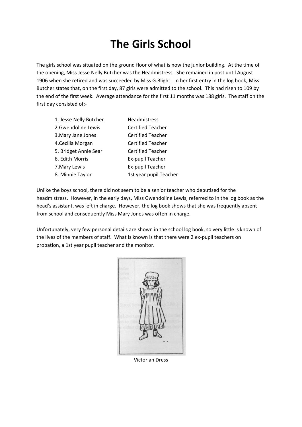## **The Girls School**

The girls school was situated on the ground floor of what is now the junior building. At the time of the opening, Miss Jesse Nelly Butcher was the Headmistress. She remained in post until August 1906 when she retired and was succeeded by Miss G.Blight. In her first entry in the log book, Miss Butcher states that, on the first day, 87 girls were admitted to the school. This had risen to 109 by the end of the first week. Average attendance for the first 11 months was 188 girls. The staff on the first day consisted of:-

| 1. Jesse Nelly Butcher | <b>Headmistress</b>      |
|------------------------|--------------------------|
| 2.Gwendoline Lewis     | <b>Certified Teacher</b> |
| 3. Mary Jane Jones     | <b>Certified Teacher</b> |
| 4. Cecilia Morgan      | <b>Certified Teacher</b> |
| 5. Bridget Annie Sear  | <b>Certified Teacher</b> |
| 6. Edith Morris        | Ex-pupil Teacher         |
| 7. Mary Lewis          | Ex-pupil Teacher         |
| 8. Minnie Taylor       | 1st year pupil Teacher   |
|                        |                          |

Unlike the boys school, there did not seem to be a senior teacher who deputised for the headmistress. However, in the early days, Miss Gwendoline Lewis, referred to in the log book as the head's assistant, was left in charge. However, the log book shows that she was frequently absent from school and consequently Miss Mary Jones was often in charge.

Unfortunately, very few personal details are shown in the school log book, so very little is known of the lives of the members of staff. What is known is that there were 2 ex-pupil teachers on probation, a 1st year pupil teacher and the monitor.



Victorian Dress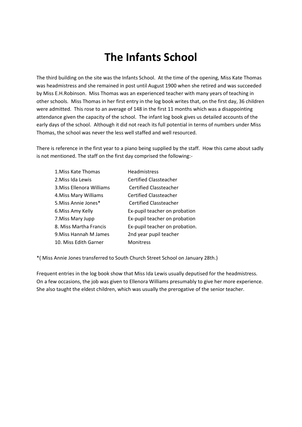## **The Infants School**

The third building on the site was the Infants School. At the time of the opening, Miss Kate Thomas was headmistress and she remained in post until August 1900 when she retired and was succeeded by Miss E.H.Robinson. Miss Thomas was an experienced teacher with many years of teaching in other schools. Miss Thomas in her first entry in the log book writes that, on the first day, 36 children were admitted. This rose to an average of 148 in the first 11 months which was a disappointing attendance given the capacity of the school. The infant log book gives us detailed accounts of the early days of the school. Although it did not reach its full potential in terms of numbers under Miss Thomas, the school was never the less well staffed and well resourced.

There is reference in the first year to a piano being supplied by the staff. How this came about sadly is not mentioned. The staff on the first day comprised the following:-

| 1. Miss Kate Thomas       | <b>Headmistress</b>            |
|---------------------------|--------------------------------|
| 2. Miss Ida Lewis         | Certified Classteacher         |
| 3. Miss Ellenora Williams | <b>Certified Classteacher</b>  |
| 4. Miss Mary Williams     | Certified Classteacher         |
| 5. Miss Annie Jones*      | Certified Classteacher         |
| 6. Miss Amy Kelly         | Ex-pupil teacher on probation  |
| 7. Miss Mary Jupp         | Ex-pupil teacher on probation  |
| 8. Miss Martha Francis    | Ex-pupil teacher on probation. |
| 9. Miss Hannah M James    | 2nd year pupil teacher         |
| 10. Miss Edith Garner     | <b>Monitress</b>               |

\*( Miss Annie Jones transferred to South Church Street School on January 28th.)

Frequent entries in the log book show that Miss Ida Lewis usually deputised for the headmistress. On a few occasions, the job was given to Ellenora Williams presumably to give her more experience. She also taught the eldest children, which was usually the prerogative of the senior teacher.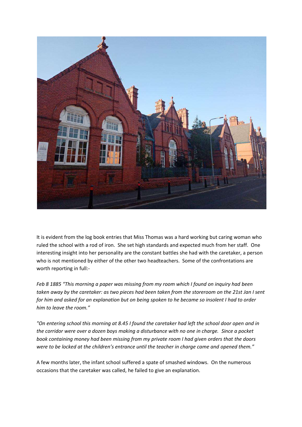

It is evident from the log book entries that Miss Thomas was a hard working but caring woman who ruled the school with a rod of iron. She set high standards and expected much from her staff. One interesting insight into her personality are the constant battles she had with the caretaker, a person who is not mentioned by either of the other two headteachers. Some of the confrontations are worth reporting in full:-

*Feb 8 1885 "This morning a paper was missing from my room which I found on inquiry had been taken away by the caretaker: as two pieces had been taken from the storeroom on the 21st Jan I sent for him and asked for an explanation but on being spoken to he became so insolent I had to order him to leave the room."*

*"On entering school this morning at 8.45 I found the caretaker had left the school door open and in the corridor were over a dozen boys making a disturbance with no one in charge. Since a pocket book containing money had been missing from my private room I had given orders that the doors were to be locked at the children's entrance until the teacher in charge came and opened them."*

A few months later, the infant school suffered a spate of smashed windows. On the numerous occasions that the caretaker was called, he failed to give an explanation.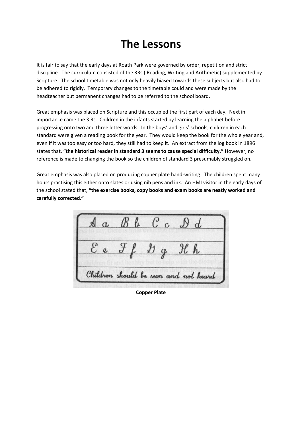### **The Lessons**

It is fair to say that the early days at Roath Park were governed by order, repetition and strict discipline. The curriculum consisted of the 3Rs ( Reading, Writing and Arithmetic) supplemented by Scripture. The school timetable was not only heavily biased towards these subjects but also had to be adhered to rigidly. Temporary changes to the timetable could and were made by the headteacher but permanent changes had to be referred to the school board.

Great emphasis was placed on Scripture and this occupied the first part of each day. Next in importance came the 3 Rs. Children in the infants started by learning the alphabet before progressing onto two and three letter words. In the boys' and girls' schools, children in each standard were given a reading book for the year. They would keep the book for the whole year and, even if it was too easy or too hard, they still had to keep it. An extract from the log book in 1896 states that, **"the historical reader in standard 3 seems to cause special difficulty."** However, no reference is made to changing the book so the children of standard 3 presumably struggled on.

Great emphasis was also placed on producing copper plate hand-writing. The children spent many hours practising this either onto slates or using nib pens and ink. An HMI visitor in the early days of the school stated that, **"the exercise books, copy books and exam books are neatly worked and carefully corrected."**

 $Cc \nolimits \nolimits \nolimits \nolimits d$ Children should be seen and not heard

**Copper Plate**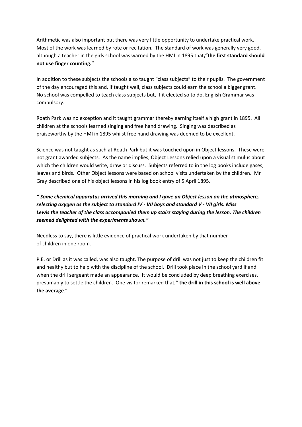Arithmetic was also important but there was very little opportunity to undertake practical work. Most of the work was learned by rote or recitation. The standard of work was generally very good, although a teacher in the girls school was warned by the HMI in 1895 that**,"the first standard should not use finger counting."**

In addition to these subjects the schools also taught "class subjects" to their pupils. The government of the day encouraged this and, if taught well, class subjects could earn the school a bigger grant. No school was compelled to teach class subjects but, if it elected so to do, English Grammar was compulsory.

Roath Park was no exception and it taught grammar thereby earning itself a high grant in 1895. All children at the schools learned singing and free hand drawing. Singing was described as praiseworthy by the HMI in 1895 whilst free hand drawing was deemed to be excellent.

Science was not taught as such at Roath Park but it was touched upon in Object lessons. These were not grant awarded subjects. As the name implies, Object Lessons relied upon a visual stimulus about which the children would write, draw or discuss. Subjects referred to in the log books include gases, leaves and birds. Other Object lessons were based on school visits undertaken by the children. Mr Gray described one of his object lessons in his log book entry of 5 April 1895.

*" Some chemical apparatus arrived this morning and I gave an Object lesson on the atmosphere, selecting oxygen as the subject to standard IV - VII boys and standard V - VII girls. Miss Lewis the teacher of the class accompanied them up stairs staying during the lesson. The children seemed delighted with the experiments shown."*

Needless to say, there is little evidence of practical work undertaken by that number of children in one room.

P.E. or Drill as it was called, was also taught. The purpose of drill was not just to keep the children fit and healthy but to help with the discipline of the school. Drill took place in the school yard if and when the drill sergeant made an appearance. It would be concluded by deep breathing exercises, presumably to settle the children. One visitor remarked that," **the drill in this school is well above the average**."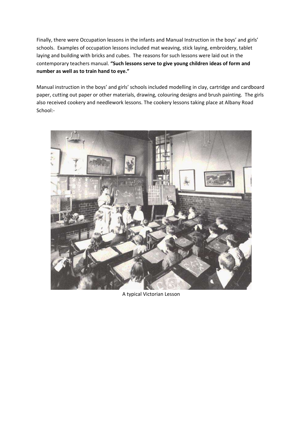Finally, there were Occupation lessons in the infants and Manual Instruction in the boys' and girls' schools. Examples of occupation lessons included mat weaving, stick laying, embroidery, tablet laying and building with bricks and cubes. The reasons for such lessons were laid out in the contemporary teachers manual. **"Such lessons serve to give young children ideas of form and number as well as to train hand to eye."**

Manual instruction in the boys' and girls' schools included modelling in clay, cartridge and cardboard paper, cutting out paper or other materials, drawing, colouring designs and brush painting. The girls also received cookery and needlework lessons. The cookery lessons taking place at Albany Road School:-



A typical Victorian Lesson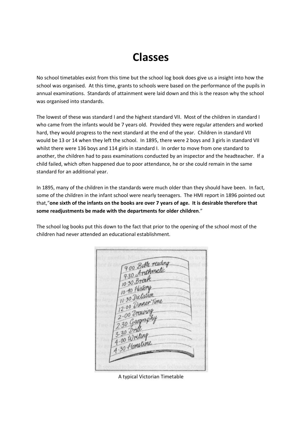## **Classes**

No school timetables exist from this time but the school log book does give us a insight into how the school was organised. At this time, grants to schools were based on the performance of the pupils in annual examinations. Standards of attainment were laid down and this is the reason why the school was organised into standards.

The lowest of these was standard I and the highest standard VII. Most of the children in standard I who came from the infants would be 7 years old. Provided they were regular attenders and worked hard, they would progress to the next standard at the end of the year. Children in standard VII would be 13 or 14 when they left the school. In 1895, there were 2 boys and 3 girls in standard VII whilst there were 136 boys and 114 girls in standard I. In order to move from one standard to another, the children had to pass examinations conducted by an inspector and the headteacher. If a child failed, which often happened due to poor attendance, he or she could remain in the same standard for an additional year.

In 1895, many of the children in the standards were much older than they should have been. In fact, some of the children in the infant school were nearly teenagers. The HMI report in 1896 pointed out that,"**one sixth of the infants on the books are over 7 years of age. It is desirable therefore that some readjustments be made with the departments for older children**."

The school log books put this down to the fact that prior to the opening of the school most of the children had never attended an educational establishment.

900 Bible reading 900 Bureaux 9.30 Break 10 30 History 10:40 Dictation 30 Dinner Time  $\frac{12.00}{2.00}$  $3.30$  Writing  $\frac{1.00}{30}$  Hometamy

A typical Victorian Timetable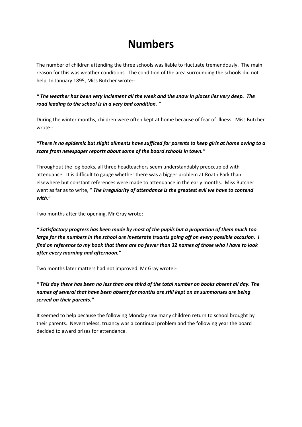### **Numbers**

The number of children attending the three schools was liable to fluctuate tremendously. The main reason for this was weather conditions. The condition of the area surrounding the schools did not help. In January 1895, Miss Butcher wrote:-

#### *" The weather has been very inclement all the week and the snow in places lies very deep. The road leading to the school is in a very bad condition. "*

During the winter months, children were often kept at home because of fear of illness. Miss Butcher wrote:-

#### *"There is no epidemic but slight ailments have sufficed for parents to keep girls at home owing to a scare from newspaper reports about some of the board schools in town."*

Throughout the log books, all three headteachers seem understandably preoccupied with attendance. It is difficult to gauge whether there was a bigger problem at Roath Park than elsewhere but constant references were made to attendance in the early months. Miss Butcher went as far as to write, " *The irregularity of attendance is the greatest evil we have to contend with*."

Two months after the opening, Mr Gray wrote:-

*" Satisfactory progress has been made by most of the pupils but a proportion of them much too large for the numbers in the school are inveterate truants going off on every possible occasion. I find on reference to my book that there are no fewer than 32 names of those who I have to look after every morning and afternoon."*

Two months later matters had not improved. Mr Gray wrote:-

*" This day there has been no less than one third of the total number on books absent all day. The names of several that have been absent for months are still kept on as summonses are being served on their parents."*

It seemed to help because the following Monday saw many children return to school brought by their parents. Nevertheless, truancy was a continual problem and the following year the board decided to award prizes for attendance.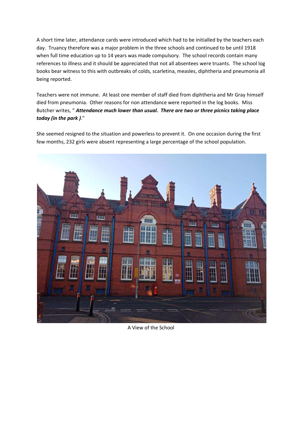A short time later, attendance cards were introduced which had to be initialled by the teachers each day. Truancy therefore was a major problem in the three schools and continued to be until 1918 when full time education up to 14 years was made compulsory. The school records contain many references to illness and it should be appreciated that not all absentees were truants. The school log books bear witness to this with outbreaks of colds, scarletina, measles, diphtheria and pneumonia all being reported.

Teachers were not immune. At least one member of staff died from diphtheria and Mr Gray himself died from pneumonia. Other reasons for non attendance were reported in the log books. Miss Butcher writes, " *Attendance much lower than usual. There are two or three picnics taking place today (in the park )*."

She seemed resigned to the situation and powerless to prevent it. On one occasion during the first few months, 232 girls were absent representing a large percentage of the school population.



A View of the School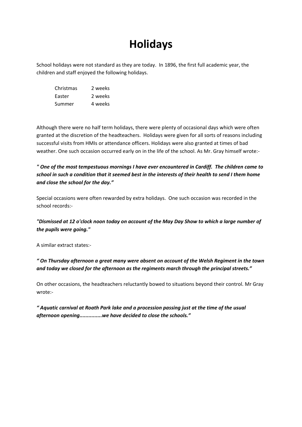## **Holidays**

School holidays were not standard as they are today. In 1896, the first full academic year, the children and staff enjoyed the following holidays.

Christmas 2 weeks Easter 2 weeks Summer 4 weeks

Although there were no half term holidays, there were plenty of occasional days which were often granted at the discretion of the headteachers. Holidays were given for all sorts of reasons including successful visits from HMIs or attendance officers. Holidays were also granted at times of bad weather. One such occasion occurred early on in the life of the school. As Mr. Gray himself wrote:-

#### *" One of the most tempestuous mornings I have ever encountered in Cardiff. The children came to school in such a condition that it seemed best in the interests of their health to send I them home and close the school for the day."*

Special occasions were often rewarded by extra holidays. One such occasion was recorded in the school records:-

#### *"Dismissed at 12 o'clock noon today on account of the May Day Show to which a large number of the pupils were going."*

A similar extract states:-

*" On Thursday afternoon a great many were absent on account of the Welsh Regiment in the town and today we closed for the afternoon as the regiments march through the principal streets."*

On other occasions, the headteachers reluctantly bowed to situations beyond their control. Mr Gray wrote:-

*" Aquatic carnival at Roath Park lake and a procession passing just at the time of the usual afternoon opening...............we have decided to close the schools."*